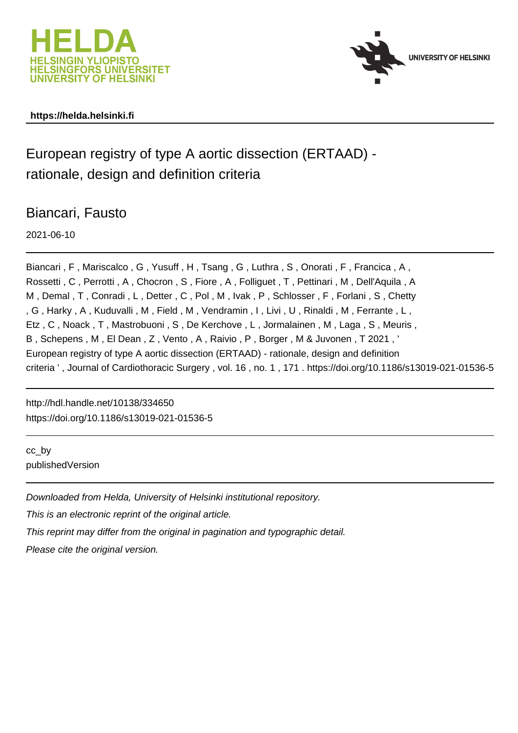



### **https://helda.helsinki.fi**

## European registry of type A aortic dissection (ERTAAD) rationale, design and definition criteria

## Biancari, Fausto

2021-06-10

Biancari, F, Mariscalco, G, Yusuff, H, Tsang, G, Luthra, S, Onorati, F, Francica, A, Rossetti , C , Perrotti , A , Chocron , S , Fiore , A , Folliguet , T , Pettinari , M , Dell'Aquila , A M , Demal , T , Conradi , L , Detter , C , Pol , M , Ivak , P , Schlosser , F , Forlani , S , Chetty , G , Harky , A , Kuduvalli , M , Field , M , Vendramin , I , Livi , U , Rinaldi , M , Ferrante , L , Etz , C , Noack , T , Mastrobuoni , S , De Kerchove , L , Jormalainen , M , Laga , S , Meuris , B , Schepens , M , El Dean , Z , Vento , A , Raivio , P , Borger , M & Juvonen , T 2021 , ' European registry of type A aortic dissection (ERTAAD) - rationale, design and definition criteria ' , Journal of Cardiothoracic Surgery , vol. 16 , no. 1 , 171 . https://doi.org/10.1186/s13019-021-01536-5

http://hdl.handle.net/10138/334650 https://doi.org/10.1186/s13019-021-01536-5

cc\_by publishedVersion

Downloaded from Helda, University of Helsinki institutional repository. This is an electronic reprint of the original article. This reprint may differ from the original in pagination and typographic detail. Please cite the original version.